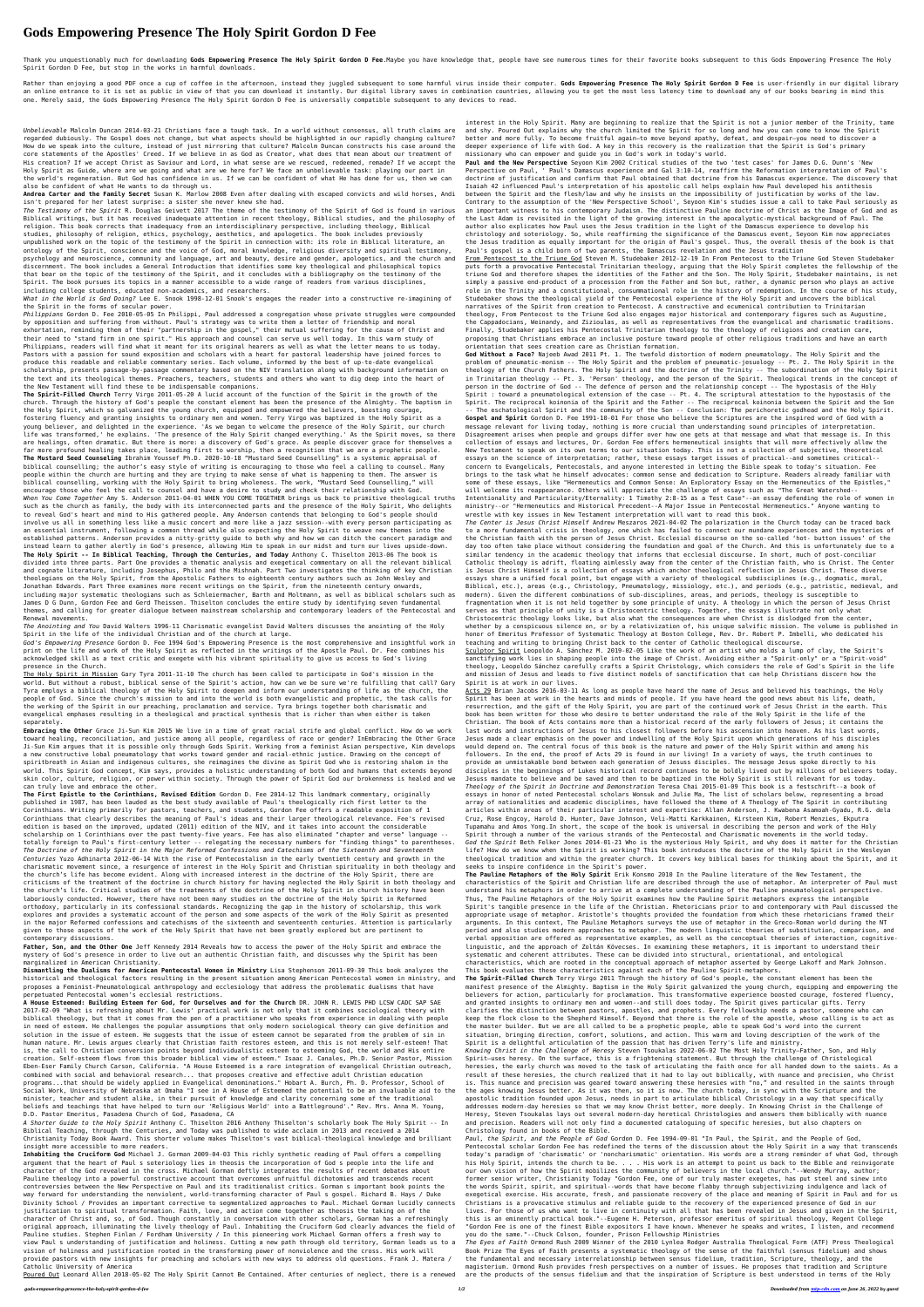## **Gods Empowering Presence The Holy Spirit Gordon D Fee**

Thank you unquestionably much for downloading Gods Empowering Presence The Holy Spirit Gordon D Fee.Maybe you have knowledge that, people have see numerous times for their favorite books subsequent to this Gods Empowering Spirit Gordon D Fee, but stop in the works in harmful downloads.

Rather than enjoying a good PDF once a cup of coffee in the afternoon, instead they juggled subsequent to some harmful virus inside their computer. Gods Empowering Presence The Holy Spirit Gordon D Fee is user-friendly in an online entrance to it is set as public in view of that you can download it instantly. Our digital library saves in combination countries, allowing you to get the most less latency time to download any of our books beari one. Merely said, the Gods Empowering Presence The Holy Spirit Gordon D Fee is universally compatible subsequent to any devices to read.

*Unbelievable* Malcolm Duncan 2014-03-21 Christians face a tough task. In a world without consensus, all truth claims are regarded dubiously. The Gospel does not change, but what aspects should be highlighted in our rapidly changing culture? How do we speak into the culture, instead of just mirroring that culture? Malcolm Duncan constructs his case around the core statements of the Apostles' Creed. If we believe in as God as Creator, what does that mean about our treatment of His creation? If we accept Christ as Saviour and Lord, in what sense are we rescued, redeemed, remade? If we accept the Holy Spirit as Guide, where are we going and what are we here for? We face an unbelievable task: playing our part in the world's regeneration. But God has confidence in us. If we can be confident of what He has done for us, then we can also be confident of what He wants to do through us.

**Andrea Carter and the Family Secret** Susan K. Marlow 2008 Even after dealing with escaped convicts and wild horses, Andi isn't prepared for her latest surprise: a sister she never knew she had.

*The Testimony of the Spirit* R. Douglas Geivett 2017 The theme of the testimony of the Spirit of God is found in various Biblical writings, but it has received inadequate attention in recent theology, Biblical studies, and the philosophy of religion. This book corrects that inadequacy from an interdisciplinary perspective, including theology, Biblical studies, philosophy of religion, ethics, psychology, aesthetics, and apologetics. The book includes previously unpublished work on the topic of the testimony of the Spirit in connection with: its role in Biblical literature, an ontology of the Spirit, conscience and the voice of God, moral knowledge, religious diversity and spiritual testimony, psychology and neuroscience, community and language, art and beauty, desire and gender, apologetics, and the church and discernment. The book includes a General Introduction that identifies some key theological and philosophical topics that bear on the topic of the testimony of the Spirit, and it concludes with a bibliography on the testimony of the Spirit. The book pursues its topics in a manner accessible to a wide range of readers from various disciplines, including college students, educated non-academics, and researchers.

*What in the World is God Doing?* Lee E. Snook 1998-12-01 Snook's engages the reader into a constructive re-imagining of the Spirit in the forms of secular power.

*Philippians* Gordon D. Fee 2010-05-05 In Philippi, Paul addressed a congregation whose private struggles were compounded by opposition and suffering from without. Paul's strategy was to write them a letter of friendship and moral exhortation, reminding them of their "partnership in the gospel," their mutual suffering for the cause of Christ and their need to "stand firm in one spirit." His approach and counsel can serve us well today. In this warm study of Philippians, readers will find what it meant for its original hearers as well as what the letter means to us today. Pastors with a passion for sound exposition and scholars with a heart for pastoral leadership have joined forces to produce this readable and reliable commentary series. Each volume, informed by the best of up-to-date evangelical scholarship, presents passage-by-passage commentary based on the NIV translation along with background information on the text and its theological themes. Preachers, teachers, students and others who want to dig deep into the heart of the New Testament will find these to be indispensable companions.

**The Spirit-Filled Church** Terry Virgo 2011-05-20 A lucid account of the function of the Spirit in the growth of the church. Through the history of God's people the constant element has been the presence of the Almighty. The baptism in the Holy Spirit, which so galvanized the young church, equipped and empowered the believers, boosting courage, fostering fluency and granting insights to ordinary men and women. Terry Virgo was baptized in the Holy Spirit as a young believer, and delighted in the experience. 'As we began to welcome the presence of the Holy Spirit, our church life was transformed,' he explains. 'The presence of the Holy Spirit changed everything.' As the Spirit moves, so there are healings, often dramatic. But there is more: a discovery of God's grace. As people discover grace for themselves a far more profound healing takes place, leading first to worship, then a recognition that we are a prophetic people. **The Mustard Seed Counseling** Ibrahim Youssef Ph.D. 2020-10-18 "Mustard Seed Counselling" is a systemic appraisal of biblical counselling; the author's easy style of writing is encouraging to those who feel a calling to counsel. Many people within the church are hurting and they are trying to make sense of what is happening to them. The answer is biblical counselling, working with the Holy Spirit to bring wholeness. The work, "Mustard Seed Counselling," will encourage those who feel the call to counsel and have a desire to study and check their relationship with God. When You Come Together Amy S. Anderson 2011-04-01 WHEN YOU COME TOGETHER brings us back to primitive theological truths Intentionality and Particularity/Eternality: 1 Timothy 2:8-15 as a Test Case"--an essay defending the such as the church as family, the body with its interconnected parts and the presence of the Holy Spirit, Who delights to reveal God's heart and mind to His gathered people. Amy Anderson contends that belonging to God's people should involve us all in something less like a music concert and more like a jazz session--with every person participating as an essential instrument, following a common thread while also expecting the Holy Spirit to weave new themes into the established patterns. Anderson provides a nitty-gritty guide to both why and how we can ditch the concert paradigm and instead learn to gather alertly in God's presence, allowing Him to speak in our midst and turn our lives upside-down. **The Holy Spirit -- In Biblical Teaching, Through the Centuries, and Today** Anthony C. Thiselton 2013-06 The book is divided into three parts. Part One provides a thematic analysis and exegetical commentary on all the relevant biblical and cognate literature, including Josephus, Philo and the Mishnah. Part Two investigates the thinking of key Christian theologians on the Holy Spirit, from the Apostolic Fathers to eighteenth century authors such as John Wesley and Jonathan Edwards. Part Three examines more recent writings on the Spirit, from the nineteenth century onwards, including major systematic theologians such as Schleiermacher, Barth and Moltmann, as well as biblical scholars such as James D G Dunn, Gordon Fee and Gerd Theissen. Thiselton concludes the entire study by identifying seven fundamental themes, and calling for greater dialogue between mainstream scholarship and contemporary leaders of the Pentecostal and Renewal movements.

*The Anointing and You* David Walters 1996-11 Charismatic evangelist David Walters discusses the anointing of the Holy Spirit in the life of the individual Christian and of the church at large.

*God's Empowering Presence* Gordon D. Fee 1994 God's Empowering Presence is the most comprehensive and insightful work in print on the life and work of the Holy Spirit as reflected in the writings of the Apostle Paul. Dr. Fee combines his acknowledged skill as a text critic and exegete with his vibrant spirituality to give us access to God's living presence in the Church.

The Holy Spirit in Mission Gary Tyra 2011-11-10 The church has been called to participate in God's mission in the world. But without a robust, biblical sense of the Spirit's action, how can we be sure we're fulfilling that call? Gary Tyra employs a biblical theology of the Holy Spirit to deepen and inform our understanding of life as the church, the people of God. Since the church's mission to and into the world is both evangelistic and prophetic, the task calls for the working of the Spirit in our preaching, proclamation and service. Tyra brings together both charismatic and evangelical emphases resulting in a theological and practical synthesis that is richer than when either is taken separately.

**Embracing the Other** Grace Ji-Sun Kim 2015 We live in a time of great racial strife and global conflict. How do we work toward healing, reconciliation, and justice among all people, regardless of race or gender? InEmbracing the Other Grace Ji-Sun Kim argues that it is possible only through Gods Spirit. Working from a feminist Asian perspective, Kim develops a new constructive lobal pneumatology that works toward gender and racial-ethnic justice. Drawing on the concept of spiritbreath in Asian and indigenous cultures, she reimagines the divine as Spirit God who is restoring shalom in the world. This Spirit God concept, Kim says, provides a holistic understanding of both God and humans that extends beyond skin color, culture, religion, or power within society. Through the power of Spirit God our brokenness is healed and we can truly love and embrace the other.

**The First Epistle to the Corinthians, Revised Edition** Gordon D. Fee 2014-12 This landmark commentary, originally published in 1987, has been lauded as the best study available of Paul's theologically rich first letter to the Corinthians. Writing primarily for pastors, teachers, and students, Gordon Fee offers a readable exposition of 1 Corinthians that clearly describes the meaning of Paul's ideas and their larger theological relevance. Fee's revised edition is based on the improved, updated (2011) edition of the NIV, and it takes into account the considerable scholarship on 1 Corinthians over the past twenty-five years. Fee has also eliminated "chapter and verse" language - totally foreign to Paul's first-century letter -- relegating the necessary numbers for "finding things" to parentheses. *The Doctrine of the Holy Spirit in the Major Reformed Confessions and Catechisms of the Sixteenth and Seventeenth Centuries* Yuzo Adhinarta 2012-06-14 With the rise of Pentecostalism in the early twentieth century and growth in the charismatic movement since, a resurgence of interest in the Holy Spirit and Christian spirituality in both theology and the church's life has become evident. Along with increased interest in the doctrine of the Holy Spirit, there are criticisms of the treatment of the doctrine in church history for having neglected the Holy Spirit in both theology and the church's life. Critical studies of the treatments of the doctrine of the Holy Spirit in church history have been laboriously conducted. However, there have not been many studies on the doctrine of the Holy Spirit in Reformed orthodoxy, particularly in its confessional standards. Recognizing the gap in the history of scholarship, this work explores and provides a systematic account of the person and some aspects of the work of the Holy Spirit as presented in the major Reformed confessions and catechisms of the sixteenth and seventeenth centuries. Attention is particularly given to those aspects of the work of the Holy Spirit that have not been greatly explored but are pertinent to contemporary discussions.

**Father, Son, and the Other One** Jeff Kennedy 2014 Reveals how to access the power of the Holy Spirit and embrace the mystery of God's presence in order to live out an authentic Christian faith, and discusses why the Spirit has been marginalized in American Christianity.

**Dismantling the Dualisms for American Pentecostal Women in Ministry** Lisa Stephenson 2011-09-30 This book analyzes the historical and theological factors resulting in the present situation among American Pentecostal women in ministry, and proposes a Feminist-Pneumatological anthropology and ecclesiology that address the problematic dualisms that have perpetuated Pentecostal women's ecclesial restrictions.

**A House Esteemed: Building Esteem for God, for Ourselves and for the Church** DR. JOHN R. LEWIS PHD LCSW CADC SAP SAE 2017-02-09 "What is refreshing about Mr. Lewis' practical work is not only that it combines sociological theory with biblical theology, but that it comes from the pen of a practitioner who speaks from experience in dealing with people in need of esteem. He challenges the popular assumptions that only modern sociological theory can give definition and solution in the issue of esteem. He suggests that the issue of esteem cannot be separated from the problem of sin in human nature. Mr. Lewis argues clearly that Christian faith restores esteem, and this is not merely self-esteem! That is, the call to Christian conversion points beyond individualistic esteem to esteeming God, the world and His entire creation. Self-esteem flows from this broader biblical view of esteem." Isaac J. Canales, Ph.D. Senior Pastor, Mission Eben-Eser Family Church Carson, California. "A House Esteemed is a rare integration of evangelical Christian outreach, combined with social and behavioral research... that proposes creative and effective adult Christian education programs...that should be widely applied in Evangelical denominations." Hobart A. Burch, Ph. D. Professor, School of Social Work, University of Nebraska at Omaha "I see in A House of Esteemed the potential to be an invaluable aid to the minister, teacher and student alike, in their pursuit of knowledge and clarity concerning some of the traditional beliefs and teachings that have helped to turn our 'Religious World' into a Battleground'." Rev. Mrs. Anna M. Young, D.D. Pastor Emeritus, Pasadena Church of God, Pasadena, CA

*A Shorter Guide to the Holy Spirit* Anthony C. Thiselton 2016 Anthony Thiselton's scholarly book The Holy Spirit -- In Biblical Teaching, through the Centuries, and Today was published to wide acclaim in 2013 and received a 2014 Christianity Today Book Award. This shorter volume makes Thiselton's vast biblical-theological knowledge and brilliant insight more accessible to more readers.

**Inhabiting the Cruciform God** Michael J. Gorman 2009-04-03 This richly synthetic reading of Paul offers a compelling argument that the heart of Paul s soteriology lies in theosis the incorporation of God s people into the life and character of the God revealed in the cross. Michael Gorman deftly integrates the results of recent debates about Pauline theology into a powerful constructive account that overcomes unfruitful dichotomies and transcends recent controversies between the New Perspective on Paul and its traditionalist critics. Gorman s important book points the way forward for understanding the nonviolent, world-transforming character of Paul s gospel. Richard B. Hays / Duke Divinity School / Provides an important corrective to segmentalized approaches to Paul. Michael Gorman lucidly connects justification to spiritual transformation. Faith, love, and action come together as theosis the taking on of the character of Christ and, so, of God. Though constantly in conversation with other scholars, Gorman has a refreshingly original approach, illuminating the lively theology of Paul. Inhabiting the Cruciform God clearly advances the field of Pauline studies. Stephen Finlan / Fordham University / In this pioneering work Michael Gorman offers a fresh way to view Paul s understanding of justification and holiness. Cutting a new path through old territory, Gorman leads us to a vision of holiness and justification rooted in the transforming power of nonviolence and the cross. His work will provide pastors with new insights for preaching and scholars with new ways to address old questions. Frank J. Matera / Catholic University of America

Poured Out Leonard Allen 2018-05-02 The Holy Spirit Cannot Be Contained. After centuries of neglect, there is a renewed

interest in the Holy Spirit. Many are beginning to realize that the Spirit is not a junior member of the Trinity, tame and shy. Poured Out explains why the church limited the Spirit for so long and how you can come to know the Spirit better and more fully. To become fruitful again—to move beyond apathy, defeat, and despair—you need to discover a deeper experience of life with God. A key in this recovery is the realization that the Spirit is God's primary missionary who can empower and guide you in God's work in today's world.

**Paul and the New Perspective** Seyoon Kim 2002 Critical studies of the two 'test cases' for James D.G. Dunn's 'New Perspective on Paul, ' Paul's Damascus experience and Gal 3:10-14, reaffirm the Reformation interpretation of Paul's doctrine of justification and confirm that Paul obtained that doctrine from his Damascus experience. The discovery that Isaiah 42 influenced Paul's interpretation of his apostolic call helps explain how Paul developed his antithesis between the Spirit and the flesh/law and why he insists on the impossibility of justification by works of the law. Contrary to the assumption of the 'New Perspective School', Seyoon Kim's studies issue a call to take Paul seriously as an important witness to his contemporary Judaism. The distinctive Pauline doctrine of Christ as the Image of God and as the Last Adam is revisited in the light of the growing interest in the apocalyptic-mystical background of Paul. The author also explicates how Paul uses the Jesus tradition in the light of the Damascus experience to develop his christology and soteriology. So, while reaffirming the significance of the Damascus event, Seyoon Kim now appreciates the Jesus tradition as equally important for the origin of Paul's gospel. Thus, the overall thesis of the book is that Paul's gospel is a child born of two parents, the Damascus revelation and the Jesus tradition From Pentecost to the Triune God Steven M. Studebaker 2012-12-19 In From Pentecost to the Triune God Steven Studebaker puts forth a provocative Pentecostal Trinitarian theology, arguing that the Holy Spirit completes the fellowship of the triune God and therefore shapes the identities of the Father and the Son. The Holy Spirit, Studebaker maintains, is not simply a passive end-product of a procession from the Father and Son but, rather, a dynamic person who plays an active role in the Trinity and a constitutional, consummational role in the history of redemption. In the course of his study, Studebaker shows the theological yield of the Pentecostal experience of the Holy Spirit and uncovers the biblical narratives of the Spirit from creation to Pentecost. A constructive and ecumenical contribution to Trinitarian theology, From Pentecost to the Triune God also engages major historical and contemporary figures such as Augustine, the Cappadocians, Weinandy, and Zizioulas, as well as representatives from the evangelical and charismatic traditions. Finally, Studebaker applies his Pentecostal Trinitarian theology to the theology of religions and creation care, proposing that Christians embrace an inclusive posture toward people of other religious traditions and have an earth orientation that sees creation care as Christian formation.

**God Without a Face?** Najeeb Awad 2011 Pt. 1. The twofold distortion of modern pneumatology. The Holy Spirit and the problem of pneumatic-monism -- The Holy Spirit and the problem of pneumatic-jesuology -- Pt. 2. The Holy Spirit in the theology of the Church Fathers. The Holy Spirit and the doctrine of the Trinity -- The subordination of the Holy Spirit in Trinitarian theology -- Pt. 3. 'Person' theology, and the person of the Spirit. Theological trends in the concept of person in the doctrine of God -- The defence of person and the relationship concept -- The hypostasis of the Holy Spirit : toward a pneumatological extension of the case -- Pt. 4. The scriptural attestation to the hypostasis of the Spirit. The reciprocal koinonia of the Spirit and the Father -- The reciprocal koinonia between the Spirit and the Son -- The eschatological Spirit and the community of the Son -- Conclusion: The perichoretic godhead and the Holy Spirit. **Gospel and Spirit** Gordon D. Fee 1991-10-01 For those who believe the Scriptures are the inspired word of God with a message relevant for living today, nothing is more crucial than understanding sound principles of interpretation. Disagreement arises when people and groups differ over how one gets at that message and what that message is. In this collection of essays and lectures, Dr. Gordon Fee offers hermeneutical insights that will more effectively allow the New Testament to speak on its own terms to our situation today. This is not a collection of subjective, theoretical essays on the science of interpretation; rather, these essays target issues of practical--and sometimes critical- concern to Evangelicals, Pentecostals, and anyone interested in letting the Bible speak to today's situation. Fee brings to the task what he himself advocates: common sense and dedication to Scripture. Readers already familiar with some of these essays, like "Hermeneutics and Common Sense: An Exploratory Essay on the Hermeneutics of the Epistles," will welcome its reappearance. Others will appreciate the challenge of essays such as "The Great Watershed- ministry--or "Hermeneutics and Historical Precedent--A Major Issue in Pentecostal Hermeneutics." Anyone wanting to wrestle with key issues in New Testament interpretation will want to read this book. *The Center is Jesus Christ Himself* Andrew Meszaros 2021-04-02 The polarization in the Church today can be traced back to a more fundamental crisis in theology, one which has failed to connect our mundane experiences and the mysteries of the Christian faith with the person of Jesus Christ. Ecclesial discourse on the so-called 'hot- button issues' of the day too often take place without considering the foundation and goal of the Church. And this is unfortunately due to a similar tendency in the academic theology that informs that ecclesial discourse. In short, much of post-conciliar Catholic theology is adrift, floating aimlessly away from the center of the Christian faith, who is Christ. The Center is Jesus Christ Himself is a collection of essays which anchor theological reflection in Jesus Christ. These diverse essays share a unified focal point, but engage with a variety of theological subdisciplines (e.g., dogmatic, moral, Biblical, etc.), areas (e.g., Christology, Pneumatology, missiology, etc.), and periods (e.g., patristic, medieval, and modern). Given the different combinations of sub-disciplines, areas, and periods, theology is susceptible to fragmentation when it is not held together by some principle of unity. A theology in which the person of Jesus Christ serves as that principle of unity is a Christocentric theology. Together, the essays illustrate not only what Christocentric theology looks like, but also what the consequences are when Christ is dislodged from the center, whether by a conspicuous silence on, or by a relativization of, his unique salvific mission. The volume is published in honor of Emeritus Professor of Systematic Theology at Boston College, Rev. Dr. Robert P. Imbelli, who dedicated his teaching and writing to bringing Christ back to the center of Catholic theological discourse. Sculptor Spirit Leopoldo A. Sánchez M. 2019-02-05 Like the work of an artist who molds a lump of clay, the Spirit's sanctifying work lies in shaping people into the image of Christ. Avoiding either a "Spirit-only" or a "Spirit-void" theology, Leopoldo Sánchez carefully crafts a Spirit Christology, which considers the role of God's Spirit in the life and mission of Jesus and leads to five distinct models of sanctification that can help Christians discern how the Spirit is at work in our lives. Acts 29 Brian Jacobs 2016-03-11 As long as people have heard the name of Jesus and believed his teachings, the Holy Spirit has been at work in the hearts and minds of people. If you have heard the good news about his life, death, resurrection, and the gift of the Holy Spirit, you are part of the continued work of Jesus Christ in the earth. This book has been written for those who desire to better understand the role of the Holy Spirit in the life of the Christian. The book of Acts contains more than a historical record of the early followers of Jesus; it contains the last words and instructions of Jesus to his closest followers before his ascension into heaven. As his last words, Jesus made a clear emphasis on the power and indwelling of the Holy Spirit upon which generations of his disciples would depend on. The central focus of this book is the nature and power of the Holy Spirit within and among his followers. In the end, the proof of Acts 29 is found in our living! In a variety of ways, the truth continues to provide an unmistakable bond between each generation of Jesuss disciples. The message Jesus spoke directly to his disciples in the beginnings of Lukes historical record continues to be boldly lived out by millions of believers today. Jesuss mandate to believe and be saved and then to be baptized in the Holy Spirit is still relevant for us today. *Theology of the Spirit in Doctrine and Demonstration* Teresa Chai 2015-01-09 This book is a festschrift--a book of essays in honor of noted Pentecostal scholars Wonsuk and Julie Ma, The list of scholars below, representing a broad array of nationalities and academic disciplines, have followed the theme of A Theology of The Spirit in contributing articles within areas of their particular interest and expertise: Allan Anderson, J. Kwabena Asamoah-Gyadu, R.G. dela Cruz, Rose Engcoy, Harold D. Hunter, Dave Johnson, Veli-Matti Karkkainen, Kirsteen Kim, Robert Menzies, Ekputra Tupamahu and Amos Yong.In short, the scope of the book is universal in describing the person and work of the Holy Spirit through a number of the various strands of the Pentecostal and Charismatic movements in the world today. *God the Spirit* Beth Felker Jones 2014-01-21 Who is the mysterious Holy Spirit, and why does it matter for the Christian life? How do we know when the Spirit is working? This book introduces the doctrine of the Holy Spirit in the Wesleyan theological tradition and within the greater church. It covers key biblical bases for thinking about the Spirit, and it seeks to inspire confidence in the Spirit's power. **The Pauline Metaphors of the Holy Spirit** Erik Konsmo 2010 In the Pauline literature of the New Testament, the characteristics of the Spirit and Christian life are described through the use of metaphor. An interpreter of Paul must understand his metaphors in order to arrive at a complete understanding of the Pauline pneumatological perspective. Thus, The Pauline Metaphors of the Holy Spirit examines how the Pauline Spirit metaphors express the intangible Spirit's tangible presence in the life of the Christian. Rhetoricians prior to and contemporary with Paul discussed the appropriate usage of metaphor. Aristotle's thoughts provided the foundation from which these rhetoricians framed their arguments. In this context, The Pauline Metaphors surveys the use of metaphor in the Greco-Roman world during the NT period and also studies modern approaches to metaphor. The modern linguistic theories of substitution, comparison, and verbal opposition are offered as representative examples, as well as the conceptual theories of interaction, cognitivelinguistic, and the approach of Zoltán Kövecses. In examining these metaphors, it is important to understand their systematic and coherent attributes. These can be divided into structural, orientational, and ontological characteristics, which are rooted in the conceptual approach of metaphor asserted by George Lakoff and Mark Johnson. This book evaluates these characteristics against each of the Pauline Spirit-metaphors.

**The Spirit-Filled Church** Terry Virgo 2011 Through the history of God's people, the constant element has been the manifest presence of the Almighty. Baptism in the Holy Spirit galvanized the young church, equipping and empowering the believers for action, particularly for proclamation. This transformative experience boosted courage, fostered fluency, and granted insights to ordinary men and women--and still does today. The Spirit gives particular gifts. Terry clarifies the distinction between pastors, apostles, and prophets. Every fellowship needs a pastor, someone who can keep the flock close to the Shepherd Himself. Beyond that there is the role of the apostle, whose calling is to act as the master builder. But we are all called to be a prophetic people, able to speak God's word into the current situation, bringing direction, comfort, solutions, and action. This warm and loving description of the work of the Spirit is a delightful articulation of the passion that has driven Terry's life and ministry. *Knowing Christ in the Challenge of Heresy* Steven Tsoukalas 2022-06-02 The Most Holy Trinity—Father, Son, and Holy Spirit—uses heresy. On the surface, this is a frightening statement. But through the challenge of Christological heresies, the early church was moved to the task of articulating the faith once for all handed down to the saints. As a result of these heresies, the church realized that it had to lay out biblically, with nuance and precision, who Christ is. This nuance and precision was geared toward answering these heresies with "no," and resulted in the saints through the ages knowing Jesus better. As it was then, so it is now. The church today, in sync with the Scripture and the apostolic tradition founded upon Jesus, needs in part to articulate biblical Christology in a way that specifically addresses modern-day heresies so that we may know Christ better, more deeply. In Knowing Christ in the Challenge of Heresy, Steven Tsoukalas lays out several modern-day heretical Christologies and answers them biblically with nuance and precision. Readers will not only find a documented cataloguing of specific heresies, but also chapters on Christology found in books of the Bible. *Paul, the Spirit, and the People of God* Gordon D. Fee 1994-09-01 "In Paul, the Spirit, and the People of God, Pentecostal scholar Gordon Fee has redefined the terms of the discussion about the Holy Spirit in a way that transcends today's paradigm of 'charismatic' or 'noncharismatic' orientation. His words are a strong reminder of what God, through his Holy Spirit, intends the church to be. . . . His work is an attempt to point us back to the Bible and reinvigorate our own vision of how the Spirit mobilizes the community of believers in the local church."--Wendy Murray, author; former senior writer, Christianity Today "Gordon Fee, one of our truly master exegetes, has put steel and sinew into the words Spirit, spirit, and spiritual--words that have become flabby through subjectivizing indulgence and lack of exegetical exercise. His accurate, fresh, and passionate recovery of the place and meaning of Spirit in Paul and for us Christians is a provocative stimulus and reliable guide to the recovery of the experienced presence of God in our lives. For those of us who want to live in continuity with all that has been revealed in Jesus and given in the Spirit, this is an eminently practical book."--Eugene H. Peterson, professor emeritus of spiritual theology, Regent College "Gordon Fee is one of the finest Bible expositors I have known. Whenever he speaks and writes, I listen, and recommend you do the same."--Chuck Colson, founder, Prison Fellowship Ministries

*The Eyes of Faith* Ormond Rush 2009 Winner of the 2010 Lynlea Rodger Australia Theological Form (ATF) Press Theological Book Prize The Eyes of Faith presents a systematic theology of the sense of the faithful (sensus fidelium) and shows the fundamental and necessary interrelationship between sensus fidelium, tradition, Scripture, theology, and the magisterium. Ormond Rush provides fresh perspectives on a number of issues. He proposes that tradition and Scripture are the products of the sensus fidelium and that the inspiration of Scripture is best understood in terms of the Holy